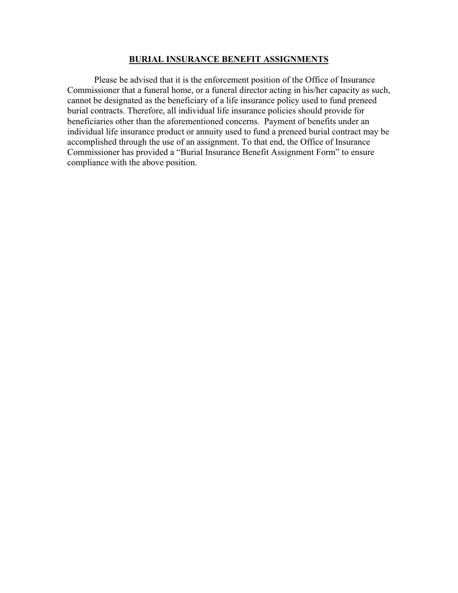## **BURIAL INSURANCE BENEFIT ASSIGNMENTS**

 Please be advised that it is the enforcement position of the Office of Insurance Commissioner that a funeral home, or a funeral director acting in his/her capacity as such, cannot be designated as the beneficiary of a life insurance policy used to fund preneed burial contracts. Therefore, all individual life insurance policies should provide for beneficiaries other than the aforementioned concerns. Payment of benefits under an individual life insurance product or annuity used to fund a preneed burial contract may be accomplished through the use of an assignment. To that end, the Office of Insurance Commissioner has provided a "Burial Insurance Benefit Assignment Form" to ensure compliance with the above position.